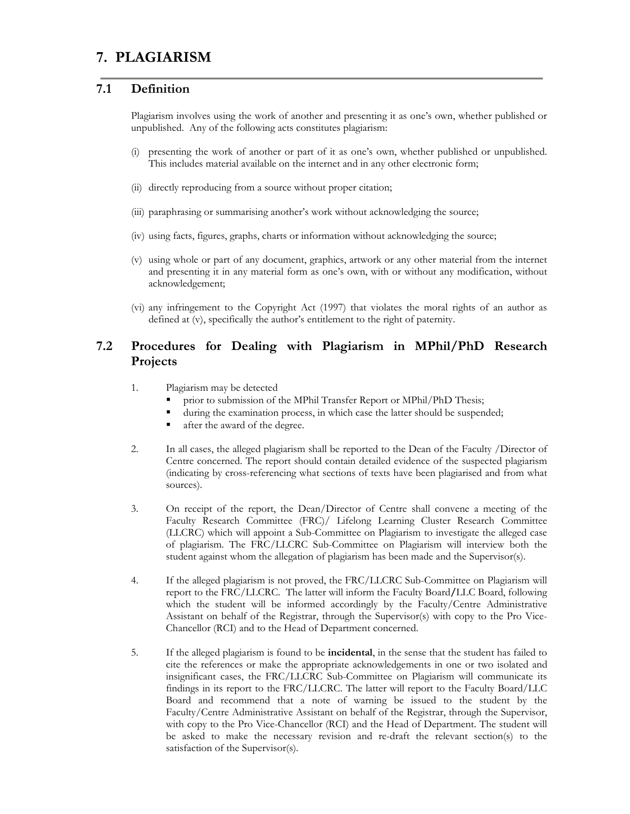# **7. PLAGIARISM**

### **7.1 Definition**

Plagiarism involves using the work of another and presenting it as one's own, whether published or unpublished. Any of the following acts constitutes plagiarism:

- (i) presenting the work of another or part of it as one's own, whether published or unpublished. This includes material available on the internet and in any other electronic form;
- (ii) directly reproducing from a source without proper citation;
- (iii) paraphrasing or summarising another's work without acknowledging the source;
- (iv) using facts, figures, graphs, charts or information without acknowledging the source;
- (v) using whole or part of any document, graphics, artwork or any other material from the internet and presenting it in any material form as one's own, with or without any modification, without acknowledgement;
- (vi) any infringement to the Copyright Act (1997) that violates the moral rights of an author as defined at (v), specifically the author's entitlement to the right of paternity.

# **7.2 Procedures for Dealing with Plagiarism in MPhil/PhD Research Projects**

- 1. Plagiarism may be detected
	- prior to submission of the MPhil Transfer Report or MPhil/PhD Thesis;
	- during the examination process, in which case the latter should be suspended;
	- after the award of the degree.
- 2. In all cases, the alleged plagiarism shall be reported to the Dean of the Faculty /Director of Centre concerned. The report should contain detailed evidence of the suspected plagiarism (indicating by cross-referencing what sections of texts have been plagiarised and from what sources).
- 3. On receipt of the report, the Dean/Director of Centre shall convene a meeting of the Faculty Research Committee (FRC)/ Lifelong Learning Cluster Research Committee (LLCRC) which will appoint a Sub-Committee on Plagiarism to investigate the alleged case of plagiarism. The FRC/LLCRC Sub-Committee on Plagiarism will interview both the student against whom the allegation of plagiarism has been made and the Supervisor(s).
- 4. If the alleged plagiarism is not proved, the FRC/LLCRC Sub-Committee on Plagiarism will report to the FRC/LLCRC. The latter will inform the Faculty Board**/**LLC Board, following which the student will be informed accordingly by the Faculty/Centre Administrative Assistant on behalf of the Registrar, through the Supervisor(s) with copy to the Pro Vice-Chancellor (RCI) and to the Head of Department concerned.
- 5. If the alleged plagiarism is found to be **incidental**, in the sense that the student has failed to cite the references or make the appropriate acknowledgements in one or two isolated and insignificant cases, the FRC/LLCRC Sub-Committee on Plagiarism will communicate its findings in its report to the FRC/LLCRC. The latter will report to the Faculty Board/LLC Board and recommend that a note of warning be issued to the student by the Faculty/Centre Administrative Assistant on behalf of the Registrar, through the Supervisor, with copy to the Pro Vice-Chancellor (RCI) and the Head of Department. The student will be asked to make the necessary revision and re-draft the relevant section(s) to the satisfaction of the Supervisor(s).